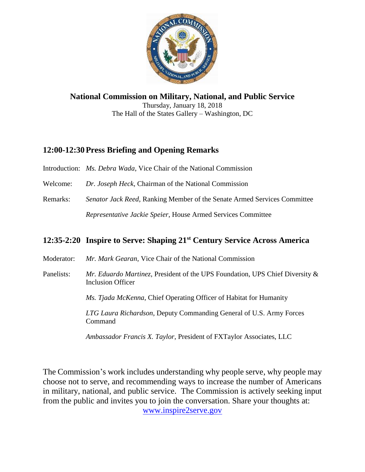

**National Commission on Military, National, and Public Service** Thursday, January 18, 2018 The Hall of the States Gallery – Washington, DC

# **12:00-12:30Press Briefing and Opening Remarks**

Introduction: *Ms. Debra Wada*, Vice Chair of the National Commission

Welcome: *Dr. Joseph Heck*, Chairman of the National Commission

Remarks: *Senator Jack Reed*, Ranking Member of the Senate Armed Services Committee *Representative Jackie Speier*, House Armed Services Committee

# **12:35-2:20 Inspire to Serve: Shaping 21st Century Service Across America**

Moderator: *Mr. Mark Gearan*, Vice Chair of the National Commission

Panelists: *Mr. Eduardo Martinez*, President of the UPS Foundation, UPS Chief Diversity & Inclusion Officer

*Ms. Tjada McKenna*, Chief Operating Officer of Habitat for Humanity

*LTG Laura Richardson*, Deputy Commanding General of U.S. Army Forces Command

*Ambassador Francis X. Taylor*, President of FXTaylor Associates, LLC

The Commission's work includes understanding why people serve, why people may choose not to serve, and recommending ways to increase the number of Americans in military, national, and public service. The Commission is actively seeking input from the public and invites you to join the conversation. Share your thoughts at: [www.inspire2serve.gov](http://www.inspire2serve.gov/)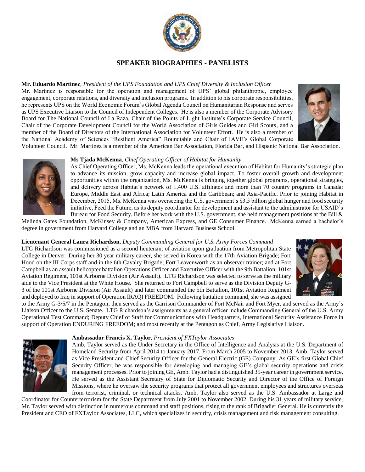

## **SPEAKER BIOGRAPHIES - PANELISTS**

### **Mr. Eduardo Martinez**, *President of the UPS Foundation and UPS Chief Diversity & Inclusion Officer*

Mr. Martinez is responsible for the operation and management of UPS' global philanthropic, employee engagement, corporate relations, and diversity and inclusion programs. In addition to his corporate responsibilities, he represents UPS on the World Economic Forum's Global Agenda Council on Humanitarian Response and serves as UPS Executive Liaison to the Council of Independent Colleges. He is also a member of the Corporate Advisory Board for The National Council of La Raza, Chair of the Points of Light Institute's Corporate Service Council, Chair of the Corporate Development Council for the World Association of Girls Guides and Girl Scouts, and a member of the Board of Directors of the International Association for Volunteer Effort. He is also a member of the National Academy of Sciences "Resilient America" Roundtable and Chair of IAVE's Global Corporate



Volunteer Council. Mr. Martinez is a member of the American Bar Association, Florida Bar, and Hispanic National Bar Association.



#### **Ms Tjada McKenna**, *Chief Operating Officer of Habitat for Humanity*

As Chief Operating Officer, Ms. McKenna leads the operational execution of Habitat for Humanity's strategic plan to advance its mission, grow capacity and increase global impact. To foster overall growth and development opportunities within the organization, Ms. McKenna is bringing together global programs, operational strategies, and delivery across Habitat's network of 1,400 U.S. affiliates and more than 70 country programs in Canada; Europe, Middle East and Africa; Latin America and the Caribbean; and Asia-Pacific. Prior to joining Habitat in December, 2015, Ms. McKenna was overseeing the U.S. government's \$3.5 billion global hunger and food security initiative, Feed the Future, as its deputy coordinator for development and assistant to the administrator for USAID's Bureau for Food Security. Before her work with the U.S. government, she held management positions at the Bill  $\&$ 

Melinda Gates Foundation, McKinsey & Company, American Express, and GE Consumer Finance. McKenna earned a bachelor's degree in government from Harvard College and an MBA from Harvard Business School.

### **Lieutenant General Laura Richardson**, *Deputy Commanding General for U.S. Army Forces Command*

LTG Richardson was commissioned as a second lieutenant of aviation upon graduation from Metropolitan State College in Denver. During her 30 year military career, she served in Korea with the 17th Aviation Brigade; Fort Hood on the III Corps staff and in the 6th Cavalry Brigade; Fort Leavenworth as an observer trainer; and at Fort Campbell as an assault helicopter battalion Operations Officer and Executive Officer with the 9th Battalion, 101st Aviation Regiment, 101st Airborne Division (Air Assault). LTG Richardson was selected to serve as the military aide to the Vice President at the White House. She returned to Fort Campbell to serve as the Division Deputy G-3 of the 101st Airborne Division (Air Assault) and later commanded the 5th Battalion, 101st Aviation Regiment and deployed to Iraq in support of Operation IRAQI FREEDOM. Following battalion command, she was assigned



to the Army G-3/5/7 in the Pentagon; then served as the Garrison Commander of Fort McNair and Fort Myer, and served as the Army's Liaison Officer to the U.S. Senate. LTG Richardson's assignments as a general officer include Commanding General of the U.S. Army Operational Test Command; Deputy Chief of Staff for Communications with Headquarters, International Security Assistance Force in support of Operation ENDURING FREEDOM; and most recently at the Pentagon as Chief, Army Legislative Liaison.



#### **Ambassador Francis X. Taylor**, *President of FXTaylor Associates*

Amb. Taylor served as the Under Secretary in the Office of Intelligence and Analysis at the U.S. Department of Homeland Security from April 2014 to January 2017. From March 2005 to November 2013, Amb. Taylor served as Vice President and Chief Security Officer for the General Electric (GE) Company. As GE's first Global Chief Security Officer, he was responsible for developing and managing GE's global security operations and crisis management processes. Prior to joining GE, Amb. Taylor had a distinguished 35-year career in government service. He served as the Assistant Secretary of State for Diplomatic Security and Director of the Office of Foreign Missions, where he oversaw the security programs that protect all government employees and structures overseas from terrorist, criminal, or technical attacks. Amb. Taylor also served as the U.S. Ambassador at Large and

Coordinator for Counterterrorism for the State Department from July 2001 to November 2002. During his 31 years of military service, Mr. Taylor served with distinction in numerous command and staff positions, rising to the rank of Brigadier General. He is currently the President and CEO of FXTaylor Associates, LLC, which specializes in security, crisis management and risk management consulting.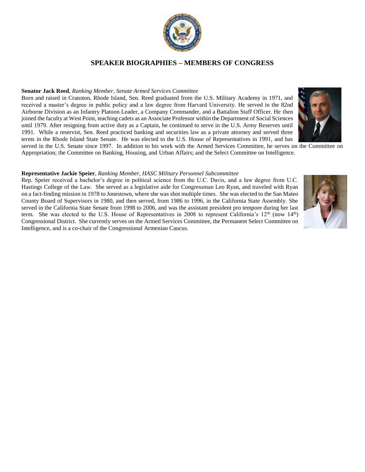

## **SPEAKER BIOGRAPHIES – MEMBERS OF CONGRESS**

#### **Senator Jack Reed**, *Ranking Member, Senate Armed Services Committee*

Born and raised in Cranston, Rhode Island, Sen. Reed graduated from the U.S. Military Academy in 1971, and received a master's degree in public policy and a law degree from Harvard University. He served in the 82nd Airborne Division as an Infantry Platoon Leader, a Company Commander, and a Battalion Staff Officer. He then joined the faculty at West Point, teaching cadets as an Associate Professor within the Department of Social Sciences until 1979. After resigning from active duty as a Captain, he continued to serve in the U.S. Army Reserves until 1991. While a reservist, Sen. Reed practiced banking and securities law as a private attorney and served three terms in the Rhode Island State Senate. He was elected to the U.S. House of Representatives in 1991, and has



#### **Representative Jackie Speier**, *Ranking Member, HASC Military Personnel Subcommittee*

Rep. Speier received a bachelor's degree in political science from the U.C. Davis, and a law degree from U.C. Hastings College of the Law. She served as a legislative aide for Congressman Leo Ryan, and traveled with Ryan on a fact-finding mission in 1978 to Jonestown, where she was shot multiple times. She was elected to the San Mateo County Board of Supervisors in 1980, and then served, from 1986 to 1996, in the California State Assembly. She served in the California State Senate from 1998 to 2006, and was the assistant president pro tempore during her last term. She was elected to the U.S. House of Representatives in 2008 to represent California's 12<sup>th</sup> (now 14<sup>th</sup>) Congressional District. She currently serves on the Armed Services Committee, the Permanent Select Committee on Intelligence, and is a co-chair of the Congressional Armenian Caucus.



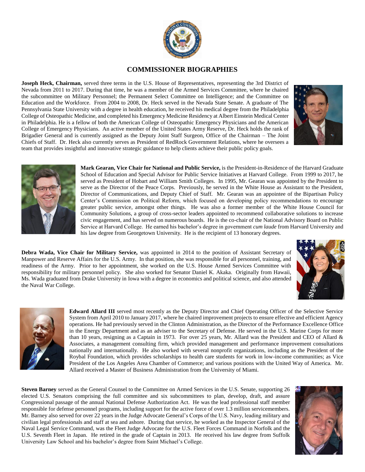

## **COMMISSIONER BIOGRAPHIES**

**Joseph Heck, Chairman,** served three terms in the U.S. House of Representatives, representing the 3rd District of Nevada from 2011 to 2017. During that time, he was a member of the Armed Services Committee, where he chaired the subcommittee on Military Personnel; the Permanent Select Committee on Intelligence; and the Committee on Education and the Workforce. From 2004 to 2008, Dr. Heck served in the Nevada State Senate. A graduate of The Pennsylvania State University with a degree in health education, he received his medical degree from the Philadelphia College of Osteopathic Medicine, and completed his Emergency Medicine Residency at Albert Einstein Medical Center in Philadelphia. He is a fellow of both the American College of Osteopathic Emergency Physicians and the American College of Emergency Physicians. An active member of the United States Army Reserve, Dr. Heck holds the rank of Brigadier General and is currently assigned as the Deputy Joint Staff Surgeon, Office of the Chairman – The Joint Chiefs of Staff. Dr. Heck also currently serves as President of RedRock Government Relations, where he oversees a team that provides insightful and innovative strategic guidance to help clients achieve their public policy goals.





**Mark Gearan, Vice Chair for National and Public Service,** is the President-in-Residence of the Harvard Graduate School of Education and Special Advisor for Public Service Initiatives at Harvard College. From 1999 to 2017, he served as President of Hobart and William Smith Colleges. In 1995, Mr. Gearan was appointed by the President to serve as the Director of the Peace Corps. Previously, he served in the White House as Assistant to the President, Director of Communications, and Deputy Chief of Staff. Mr. Gearan was an appointee of the Bipartisan Policy Center's Commission on Political Reform, which focused on developing policy recommendations to encourage greater public service, amongst other things. He was also a former member of the White House Council for Community Solutions, a group of cross-sector leaders appointed to recommend collaborative solutions to increase civic engagement, and has served on numerous boards. He is the co-chair of the National Advisory Board on Public Service at Harvard College. He earned his bachelor's degree in government *cum laude* from Harvard University and his law degree from Georgetown University. He is the recipient of 13 honorary degrees.

**Debra Wada, Vice Chair for Military Service,** was appointed in 2014 to the position of Assistant Secretary of Manpower and Reserve Affairs for the U.S. Army. In that position, she was responsible for all personnel, training, and readiness of the Army. Prior to her appointment, she worked on the U.S. House Armed Services Committee with responsibility for military personnel policy. She also worked for Senator Daniel K. Akaka. Originally from Hawaii, Ms. Wada graduated from Drake University in Iowa with a degree in economics and political science, and also attended the Naval War College.





**Edward Allard III** served most recently as the Deputy Director and Chief Operating Officer of the Selective Service System from April 2010 to January 2017, where he chaired improvement projects to ensure effective and efficient Agency operations. He had previously served in the Clinton Administration, as the Director of the Performance Excellence Office in the Energy Department and as an adviser to the Secretary of Defense. He served in the U.S. Marine Corps for more than 10 years, resigning as a Captain in 1973. For over 25 years, Mr. Allard was the President and CEO of Allard & Associates, a management consulting firm, which provided management and performance improvement consultations nationally and internationally. He also worked with several nonprofit organizations, including as the President of the Roybal Foundation, which provides scholarships to health care students for work in low-income communities; as Vice President of the Los Angeles Area Chamber of Commerce; and various positions with the United Way of America. Mr. Allard received a Master of Business Administration from the University of Miami.

**Steven Barney** served as the General Counsel to the Committee on Armed Services in the U.S. Senate, supporting 26 elected U.S. Senators comprising the full committee and six subcommittees to plan, develop, draft, and assure Congressional passage of the annual National Defense Authorization Act. He was the lead professional staff member responsible for defense personnel programs, including support for the active force of over 1.3 million servicemembers. Mr. Barney also served for over 22 years in the Judge Advocate General's Corps of the U.S. Navy, leading military and civilian legal professionals and staff at sea and ashore. During that service, he worked as the Inspector General of the Naval Legal Service Command, was the Fleet Judge Advocate for the U.S. Fleet Forces Command in Norfolk and the U.S. Seventh Fleet in Japan. He retired in the grade of Captain in 2013. He received his law degree from Suffolk University Law School and his bachelor's degree from Saint Michael's College.